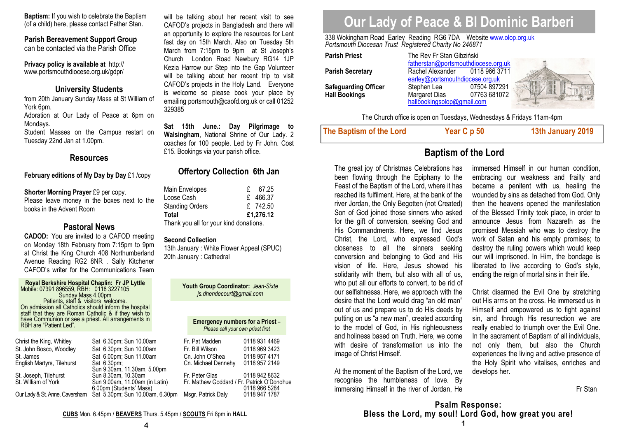**Baptism:** If you wish to celebrate the Baptism (of a child) here, please contact Father Stan.

**Parish Bereavement Support Group** 

can be contacted via the Parish Office

**Privacy policy is available at** http://www.portsmouthdiocese.org.uk/gdpr/

#### **University Students**

 from 20th January Sunday Mass at St William of York 6pm. Adoration at Our Lady of Peace at 6pm on Mondays.

 Student Masses on the Campus restart on Tuesday 22nd Jan at 1.00pm.

#### **Resources**

#### **February editions of My Day by Day** £1 /copy

**Shorter Morning Prayer** £9 per copy.

 Please leave money in the boxes next to the books in the Advent Room

#### **Pastoral News**

 **CADOD:** You are invited to a CAFOD meeting on Monday 18th February from 7:15pm to 9pm at Christ the King Church 408 Northumberland Avenue Reading RG2 8NR . Sally Kitchener CAFOD's writer for the Communications Team

| Christ the King, Whitley   | Sat 6.30pm; Sun 10.00am                                        | Fr. Pat Madden                             | 0118 931 4469 |
|----------------------------|----------------------------------------------------------------|--------------------------------------------|---------------|
| St. John Bosco, Woodley    | Sat 6.30pm; Sun 10.00am                                        | Fr. Bill Wilson                            | 0118 969 3423 |
| St. James                  | Sat 6.00pm; Sun 11.00am                                        | Cn. John O'Shea                            | 0118 957 4171 |
| English Martyrs, Tilehurst | Sat 6.30pm;<br>Sun 9.30am, 11.30am, 5.00pm                     | Cn. Michael Dennehy                        | 0118 957 2149 |
| St. Joseph, Tilehurst      | Sun 8.30am, 10.30am                                            | Fr. Peter Glas                             | 0118 942 8632 |
| St. William of York        | Sun 9.00am, 11.00am (in Latin)<br>6.00pm (Students' Mass)      | Fr. Mathew Goddard / Fr. Patrick O'Donohue | 0118 966 5284 |
|                            | Our Lady & St. Anne, Caversham Sat 5.30pm; Sun 10.00am, 6.30pm | Msgr. Patrick Daly                         | 0118 947 1787 |

will be talking about her recent visit to see CAFOD's projects in Bangladesh and there will an opportunity to explore the resources for Lent fast day on 15th March. Also on Tuesday 5th March from 7:15pm to 9pm at St Joseph's Church London Road Newbury RG14 1JP Kezia Harrow our Step into the Gap Volunteer will be talking about her recent trip to visit CAFOD's projects in the Holy Land. Everyone is welcome so please book your place by emailing portsmouth@caofd.org.uk or call 01252 329385

**Sat 15th June.: Day Pilgrimage to Walsingham**, National Shrine of Our Lady. 2 coaches for 100 people. Led by Fr John. Cost £15. Bookings via your parish office.

### **Offertory Collection 6th Jan**

| Main Envelopes                         |  | 67.25     |  |
|----------------------------------------|--|-----------|--|
| Loose Cash                             |  | £ 466.37  |  |
| Standing Orders                        |  | £ 742.50  |  |
| Total                                  |  | £1.276.12 |  |
| Thank you all for your kind donations. |  |           |  |

#### **Second Collection**

 13th January : White Flower Appeal (SPUC) 20th January : Cathedral

> **Youth Group Coordinator:** *Jean-Sixte js.dhendecourt@gmail.com*

#### **Emergency numbers for a Priest** *–Please call your own priest first*

|      | Fr. Pat Madden                             | 0118 931 4469 |
|------|--------------------------------------------|---------------|
|      | Fr. Bill Wilson                            | 0118 969 3423 |
|      | Cn. John O'Shea                            | 0118 957 4171 |
|      | Cn. Michael Dennehy                        | 0118 957 2149 |
| מת   |                                            |               |
|      | Fr. Peter Glas                             | 0118 942 8632 |
| tin) | Fr. Mathew Goddard / Fr. Patrick O'Donohue | 0118 966 5284 |
|      | 6.30pm Msgr. Patrick Daly                  | 0118 947 1787 |
|      |                                            |               |

# **Our Lady of Peace & Bl Dominic Barberi**

338 Wokingham Road Earley Reading RG6 7DA Website <u>www.olop.org.uk</u><br>*Portsmouth Diocesan Trust Registered Charity No 246871* 

| Parish Priest        | The Rev Fr Stan Gibziński<br>fatherstan@portsmouthdiocese.org.uk |               |  |
|----------------------|------------------------------------------------------------------|---------------|--|
|                      |                                                                  |               |  |
| Parish Secretary     | Rachel Alexander                                                 | 0118 966 3711 |  |
|                      | earley@portsmouthdiocese.org.uk                                  |               |  |
| Safeguarding Officer | Stephen Lea                                                      | 07504 897291  |  |
| <b>Hall Bookings</b> | Margaret Dias                                                    | 07763 681072  |  |
|                      | hallbookingsolop@gmail.com                                       |               |  |

The Church office is open on Tuesdays, Wednesdays & Fridays 11am-4pm

**The Baptism of the Lord Year C p 50 13th January 2019** 

## **Baptism of the Lord**

The great joy of Christmas Celebrations has been flowing through the Epiphany to the Feast of the Baptism of the Lord, where it has reached its fulfilment. Here, at the bank of the river Jordan, the Only Begotten (not Created) Son of God joined those sinners who asked for the gift of conversion, seeking God and His Commandments. Here, we find Jesus Christ, the Lord, who expressed God's closeness to all the sinners seeking conversion and belonging to God and His vision of life. Here, Jesus showed his solidarity with them, but also with all of us, who put all our efforts to convert, to be rid of our selfishnesss. Here, we approach with the desire that the Lord would drag "an old man" out of us and prepare us to do His deeds by putting on us "a new man", created according to the model of God, in His righteousness and holiness based on Truth. Here, we come with desire of transformation us into the image of Christ Himself.

At the moment of the Baptism of the Lord, we recognise the humbleness of love. By immersing Himself in the river of Jordan, He immersed Himself in our human condition, embracing our weakness and frailty and became a penitent with us, healing the wounded by sins as detached from God. Only then the heavens opened the manifestation of the Blessed Trinity took place, in order to announce Jesus from Nazareth as the promised Messiah who was to destroy the work of Satan and his empty promises; to destroy the ruling powers which would keep our will imprisoned. In Him, the bondage is liberated to live according to God's style, ending the reign of mortal sins in their life.

Christ disarmed the Evil One by stretching out His arms on the cross. He immersed us in Himself and empowered us to fight against sin, and through His resurrection we are really enabled to triumph over the Evil One. In the sacrament of Baptism of all individuals, not only them, but also the Church experiences the living and active presence of the Holy Spirit who vitalises, enriches and develops her.

Fr Stan

**Psalm Response: Bless the Lord, my soul! Lord God, how great you are!** 

**CUBS** Mon. 6.45pm / **BEAVERS** Thurs. 5.45pm / **SCOUTS** Fri 8pm in **HALL**